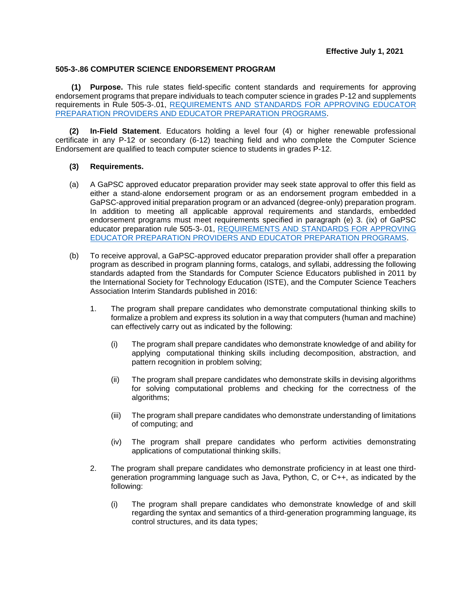## **505-3-.86 COMPUTER SCIENCE ENDORSEMENT PROGRAM**

**(1) Purpose.** This rule states field-specific content standards and requirements for approving endorsement programs that prepare individuals to teach computer science in grades P-12 and supplements requirements in Rule 505-3-.01, [REQUIREMENTS AND STANDARDS FOR APPROVING EDUCATOR](https://www.gapsc.com/Rules/Current/EducatorPreparation/505-3-.01.pdf?dt=636324456900468392)  [PREPARATION PROVIDERS AND EDUCATOR PREPARATION PROGRAMS.](https://www.gapsc.com/Rules/Current/EducatorPreparation/505-3-.01.pdf?dt=636324456900468392)

**(2) In-Field Statement**. Educators holding a level four (4) or higher renewable professional certificate in any P-12 or secondary (6-12) teaching field and who complete the Computer Science Endorsement are qualified to teach computer science to students in grades P-12.

## **(3) Requirements.**

- (a) A GaPSC approved educator preparation provider may seek state approval to offer this field as either a stand-alone endorsement program or as an endorsement program embedded in a GaPSC-approved initial preparation program or an advanced (degree-only) preparation program. In addition to meeting all applicable approval requirements and standards, embedded endorsement programs must meet requirements specified in paragraph (e) 3. (ix) of GaPSC educator preparation rule 505-3-.01, [REQUIREMENTS AND STANDARDS FOR APPROVING](https://www.gapsc.com/Rules/Current/EducatorPreparation/505-3-.01.pdf?dt=%3C%25#Eval()  [EDUCATOR PREPARATION PROVIDERS AND EDUCATOR PREPARATION PROGRAMS.](https://www.gapsc.com/Rules/Current/EducatorPreparation/505-3-.01.pdf?dt=%3C%25#Eval()
- (b) To receive approval, a GaPSC-approved educator preparation provider shall offer a preparation program as described in program planning forms, catalogs, and syllabi, addressing the following standards adapted from the Standards for Computer Science Educators published in 2011 by the International Society for Technology Education (ISTE), and the Computer Science Teachers Association Interim Standards published in 2016:
	- 1. The program shall prepare candidates who demonstrate computational thinking skills to formalize a problem and express its solution in a way that computers (human and machine) can effectively carry out as indicated by the following:
		- (i) The program shall prepare candidates who demonstrate knowledge of and ability for applying computational thinking skills including decomposition, abstraction, and pattern recognition in problem solving;
		- (ii) The program shall prepare candidates who demonstrate skills in devising algorithms for solving computational problems and checking for the correctness of the algorithms;
		- (iii) The program shall prepare candidates who demonstrate understanding of limitations of computing; and
		- (iv) The program shall prepare candidates who perform activities demonstrating applications of computational thinking skills.
	- 2. The program shall prepare candidates who demonstrate proficiency in at least one thirdgeneration programming language such as Java, Python, C, or C++, as indicated by the following:
		- (i) The program shall prepare candidates who demonstrate knowledge of and skill regarding the syntax and semantics of a third-generation programming language, its control structures, and its data types;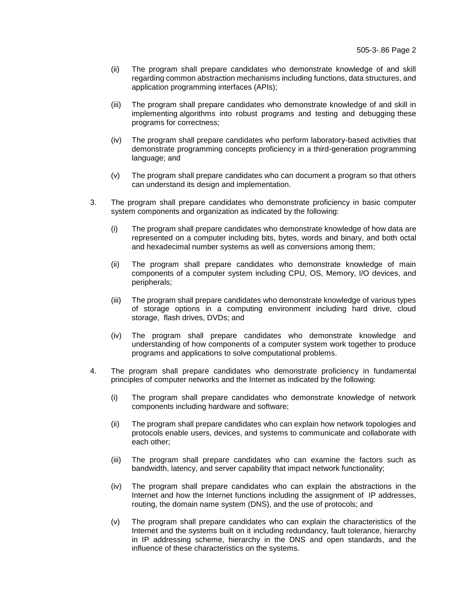- (ii) The program shall prepare candidates who demonstrate knowledge of and skill regarding common abstraction mechanisms including functions, data structures, and application programming interfaces (APIs);
- (iii) The program shall prepare candidates who demonstrate knowledge of and skill in implementing algorithms into robust programs and testing and debugging these programs for correctness;
- (iv) The program shall prepare candidates who perform laboratory-based activities that demonstrate programming concepts proficiency in a third-generation programming language; and
- (v) The program shall prepare candidates who can document a program so that others can understand its design and implementation.
- 3. The program shall prepare candidates who demonstrate proficiency in basic computer system components and organization as indicated by the following:
	- (i) The program shall prepare candidates who demonstrate knowledge of how data are represented on a computer including bits, bytes, words and binary, and both octal and hexadecimal number systems as well as conversions among them;
	- (ii) The program shall prepare candidates who demonstrate knowledge of main components of a computer system including CPU, OS, Memory, I/O devices, and peripherals;
	- (iii) The program shall prepare candidates who demonstrate knowledge of various types of storage options in a computing environment including hard drive, cloud storage, flash drives, DVDs; and
	- (iv) The program shall prepare candidates who demonstrate knowledge and understanding of how components of a computer system work together to produce programs and applications to solve computational problems.
- 4. The program shall prepare candidates who demonstrate proficiency in fundamental principles of computer networks and the Internet as indicated by the following:
	- (i) The program shall prepare candidates who demonstrate knowledge of network components including hardware and software;
	- (ii) The program shall prepare candidates who can explain how network topologies and protocols enable users, devices, and systems to communicate and collaborate with each other;
	- (iii) The program shall prepare candidates who can examine the factors such as bandwidth, latency, and server capability that impact network functionality;
	- (iv) The program shall prepare candidates who can explain the abstractions in the Internet and how the Internet functions including the assignment of IP addresses, routing, the domain name system (DNS), and the use of protocols; and
	- (v) The program shall prepare candidates who can explain the characteristics of the Internet and the systems built on it including redundancy, fault tolerance, hierarchy in IP addressing scheme, hierarchy in the DNS and open standards, and the influence of these characteristics on the systems.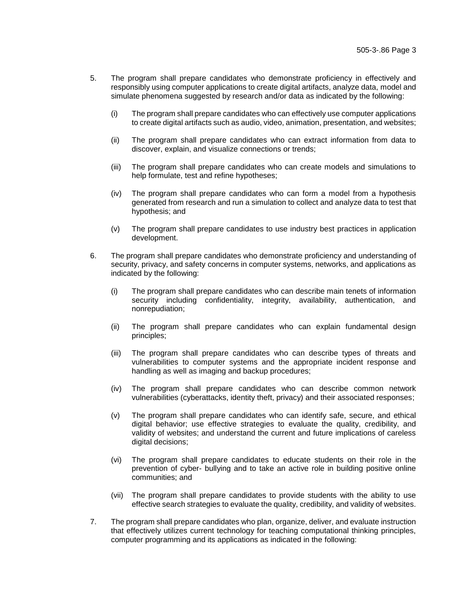- 5. The program shall prepare candidates who demonstrate proficiency in effectively and responsibly using computer applications to create digital artifacts, analyze data, model and simulate phenomena suggested by research and/or data as indicated by the following:
	- (i) The program shall prepare candidates who can effectively use computer applications to create digital artifacts such as audio, video, animation, presentation, and websites;
	- (ii) The program shall prepare candidates who can extract information from data to discover, explain, and visualize connections or trends;
	- (iii) The program shall prepare candidates who can create models and simulations to help formulate, test and refine hypotheses;
	- (iv) The program shall prepare candidates who can form a model from a hypothesis generated from research and run a simulation to collect and analyze data to test that hypothesis; and
	- (v) The program shall prepare candidates to use industry best practices in application development.
- 6. The program shall prepare candidates who demonstrate proficiency and understanding of security, privacy, and safety concerns in computer systems, networks, and applications as indicated by the following:
	- (i) The program shall prepare candidates who can describe main tenets of information security including confidentiality, integrity, availability, authentication, and nonrepudiation;
	- (ii) The program shall prepare candidates who can explain fundamental design principles;
	- (iii) The program shall prepare candidates who can describe types of threats and vulnerabilities to computer systems and the appropriate incident response and handling as well as imaging and backup procedures;
	- (iv) The program shall prepare candidates who can describe common network vulnerabilities (cyberattacks, identity theft, privacy) and their associated responses;
	- (v) The program shall prepare candidates who can identify safe, secure, and ethical digital behavior; use effective strategies to evaluate the quality, credibility, and validity of websites; and understand the current and future implications of careless digital decisions;
	- (vi) The program shall prepare candidates to educate students on their role in the prevention of cyber- bullying and to take an active role in building positive online communities; and
	- (vii) The program shall prepare candidates to provide students with the ability to use effective search strategies to evaluate the quality, credibility, and validity of websites.
- 7. The program shall prepare candidates who plan, organize, deliver, and evaluate instruction that effectively utilizes current technology for teaching computational thinking principles, computer programming and its applications as indicated in the following: